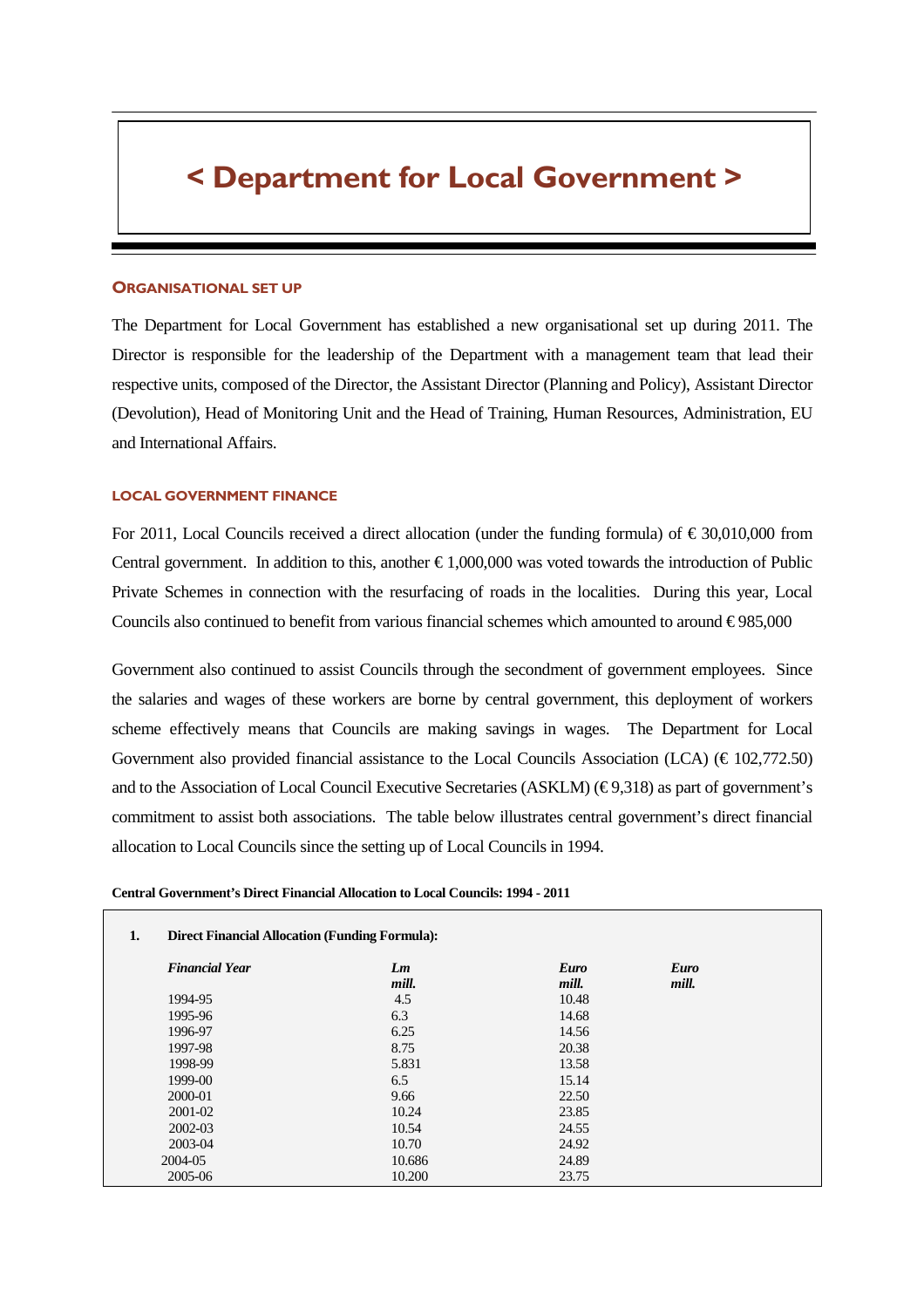# < Department for Local Government >

#### ORGANISATIONAL SET UP

The Department for Local Government has established a new organisational set up during 2011. The Director is responsible for the leadership of the Department with a management team that lead their respective units, composed of the Director, the Assistant Director (Planning and Policy), Assistant Director (Devolution), Head of Monitoring Unit and the Head of Training, Human Resources, Administration, EU and International Affairs.

#### LOCAL GOVERNMENT FINANCE

For 2011, Local Councils received a direct allocation (under the funding formula) of  $\epsilon$  30,010,000 from Central government. In addition to this, another  $\epsilon$ 1,000,000 was voted towards the introduction of Public Private Schemes in connection with the resurfacing of roads in the localities. During this year, Local Councils also continued to benefit from various financial schemes which amounted to around  $\epsilon$  985,000

Government also continued to assist Councils through the secondment of government employees. Since the salaries and wages of these workers are borne by central government, this deployment of workers scheme effectively means that Councils are making savings in wages. The Department for Local Government also provided financial assistance to the Local Councils Association (LCA) ( $\in$  102,772.50) and to the Association of Local Council Executive Secretaries (ASKLM) ( $\in$  9,318) as part of government's commitment to assist both associations. The table below illustrates central government's direct financial allocation to Local Councils since the setting up of Local Councils in 1994.

| <b>Direct Financial Allocation (Funding Formula):</b> |             |                      |                      |  |  |
|-------------------------------------------------------|-------------|----------------------|----------------------|--|--|
| <b>Financial Year</b>                                 | Lm<br>mill. | <b>Euro</b><br>mill. | <b>Euro</b><br>mill. |  |  |
| 1994-95                                               | 4.5         | 10.48                |                      |  |  |
| 1995-96                                               | 6.3         | 14.68                |                      |  |  |
| 1996-97                                               | 6.25        | 14.56                |                      |  |  |
| 1997-98                                               | 8.75        | 20.38                |                      |  |  |
| 1998-99                                               | 5.831       | 13.58                |                      |  |  |
| 1999-00                                               | 6.5         | 15.14                |                      |  |  |
| 2000-01                                               | 9.66        | 22.50                |                      |  |  |
| 2001-02                                               | 10.24       | 23.85                |                      |  |  |
| 2002-03                                               | 10.54       | 24.55                |                      |  |  |
| 2003-04                                               | 10.70       | 24.92                |                      |  |  |
| 2004-05                                               | 10.686      | 24.89                |                      |  |  |
| 2005-06                                               | 10.200      | 23.75                |                      |  |  |

## **Central Government's Direct Financial Allocation to Local Councils: 1994 - 2011**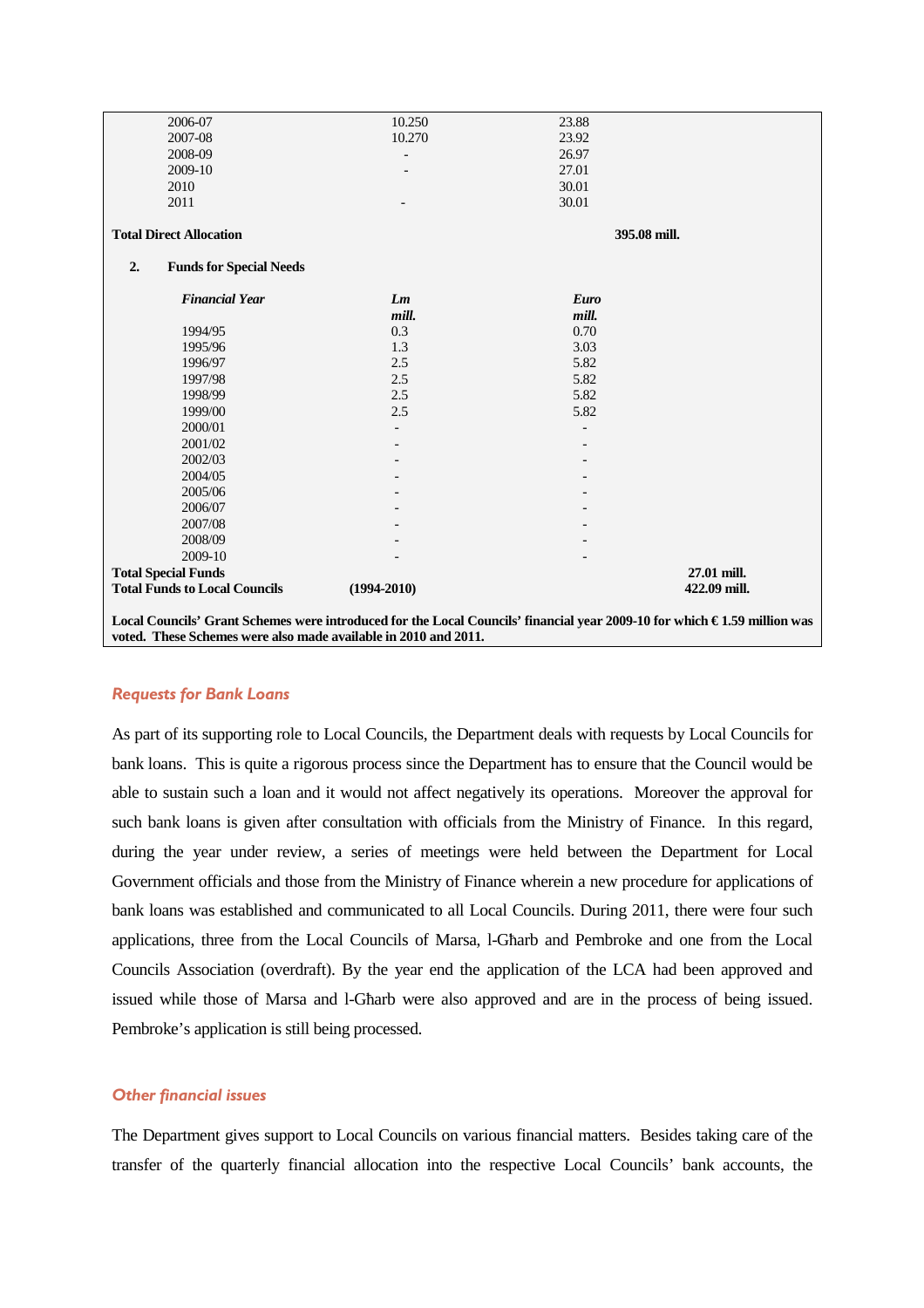| 2006-07                                                                                                                   | 10.250          | 23.88        |              |
|---------------------------------------------------------------------------------------------------------------------------|-----------------|--------------|--------------|
| 2007-08                                                                                                                   | 10.270          | 23.92        |              |
| 2008-09                                                                                                                   |                 | 26.97        |              |
| 2009-10                                                                                                                   |                 | 27.01        |              |
| 2010                                                                                                                      |                 | 30.01        |              |
| 2011                                                                                                                      |                 | 30.01        |              |
|                                                                                                                           |                 |              |              |
| <b>Total Direct Allocation</b>                                                                                            |                 | 395.08 mill. |              |
| 2.<br><b>Funds for Special Needs</b>                                                                                      |                 |              |              |
| <b>Financial Year</b>                                                                                                     | Lm              | Euro         |              |
|                                                                                                                           | mill.           | mill.        |              |
| 1994/95                                                                                                                   | 0.3             | 0.70         |              |
| 1995/96                                                                                                                   | 1.3             | 3.03         |              |
| 1996/97                                                                                                                   | 2.5             | 5.82         |              |
| 1997/98                                                                                                                   | 2.5             | 5.82         |              |
| 1998/99                                                                                                                   | 2.5             | 5.82         |              |
| 1999/00                                                                                                                   | 2.5             | 5.82         |              |
| 2000/01                                                                                                                   |                 |              |              |
| 2001/02                                                                                                                   |                 |              |              |
| 2002/03                                                                                                                   |                 |              |              |
| 2004/05                                                                                                                   |                 |              |              |
| 2005/06                                                                                                                   |                 |              |              |
| 2006/07                                                                                                                   |                 |              |              |
| 2007/08                                                                                                                   |                 |              |              |
| 2008/09                                                                                                                   |                 |              |              |
| 2009-10                                                                                                                   |                 |              |              |
| <b>Total Special Funds</b>                                                                                                |                 |              | 27.01 mill.  |
| <b>Total Funds to Local Councils</b>                                                                                      | $(1994 - 2010)$ |              | 422.09 mill. |
|                                                                                                                           |                 |              |              |
| Local Councils' Grant Schemes were introduced for the Local Councils' financial year 2009-10 for which € 1.59 million was |                 |              |              |
| voted. These Schemes were also made available in 2010 and 2011.                                                           |                 |              |              |

## Requests for Bank Loans

As part of its supporting role to Local Councils, the Department deals with requests by Local Councils for bank loans. This is quite a rigorous process since the Department has to ensure that the Council would be able to sustain such a loan and it would not affect negatively its operations. Moreover the approval for such bank loans is given after consultation with officials from the Ministry of Finance. In this regard, during the year under review, a series of meetings were held between the Department for Local Government officials and those from the Ministry of Finance wherein a new procedure for applications of bank loans was established and communicated to all Local Councils. During 2011, there were four such applications, three from the Local Councils of Marsa, l-Għarb and Pembroke and one from the Local Councils Association (overdraft). By the year end the application of the LCA had been approved and issued while those of Marsa and l-Għarb were also approved and are in the process of being issued. Pembroke's application is still being processed.

## Other financial issues

The Department gives support to Local Councils on various financial matters. Besides taking care of the transfer of the quarterly financial allocation into the respective Local Councils' bank accounts, the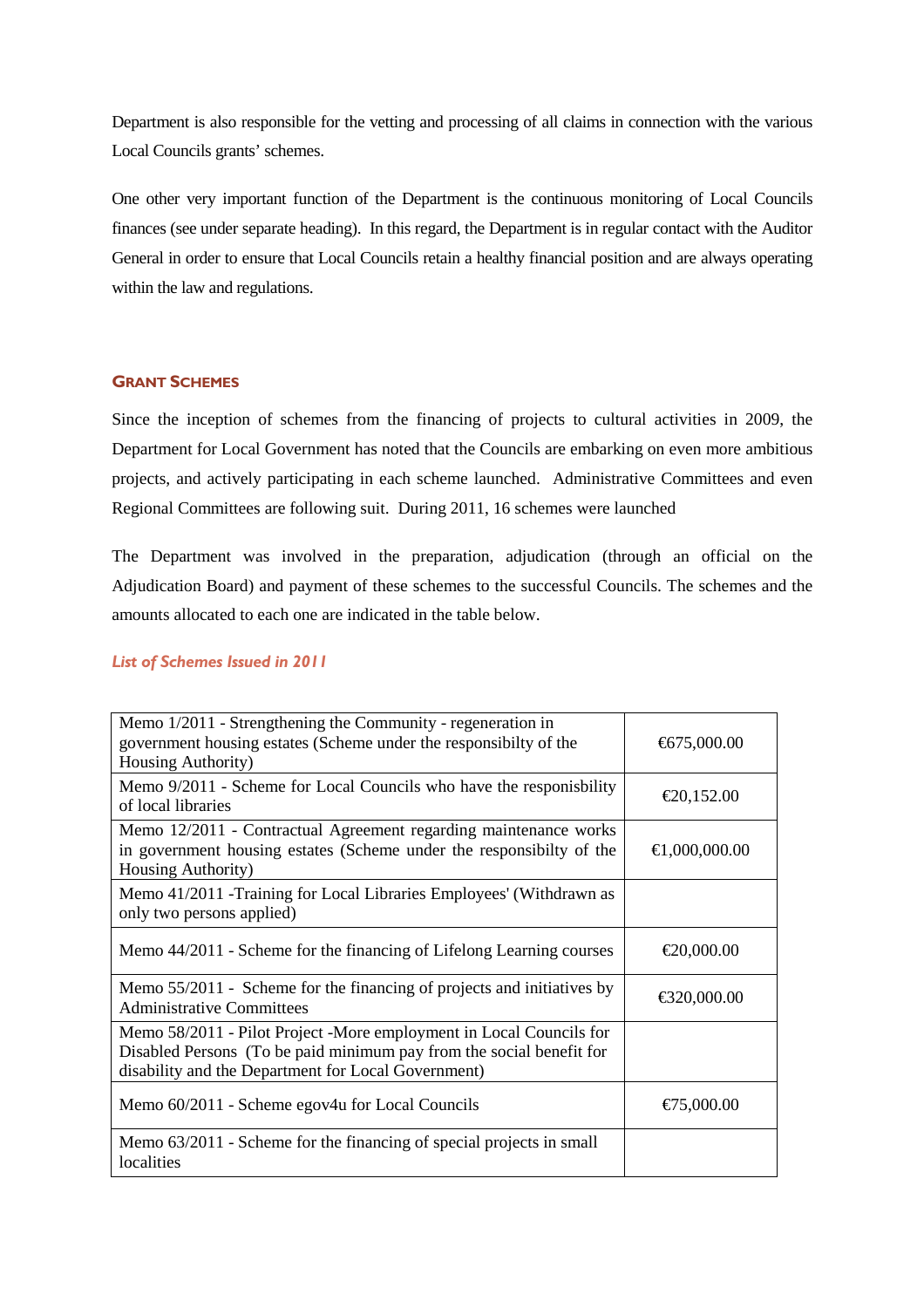Department is also responsible for the vetting and processing of all claims in connection with the various Local Councils grants' schemes.

One other very important function of the Department is the continuous monitoring of Local Councils finances (see under separate heading). In this regard, the Department is in regular contact with the Auditor General in order to ensure that Local Councils retain a healthy financial position and are always operating within the law and regulations.

## GRANT SCHEMES

Since the inception of schemes from the financing of projects to cultural activities in 2009, the Department for Local Government has noted that the Councils are embarking on even more ambitious projects, and actively participating in each scheme launched. Administrative Committees and even Regional Committees are following suit. During 2011, 16 schemes were launched

The Department was involved in the preparation, adjudication (through an official on the Adjudication Board) and payment of these schemes to the successful Councils. The schemes and the amounts allocated to each one are indicated in the table below.

#### List of Schemes Issued in 2011

| Memo 1/2011 - Strengthening the Community - regeneration in<br>government housing estates (Scheme under the responsibilty of the<br>Housing Authority)                                             | €675,000.00   |
|----------------------------------------------------------------------------------------------------------------------------------------------------------------------------------------------------|---------------|
| Memo 9/2011 - Scheme for Local Councils who have the responisbility<br>of local libraries                                                                                                          | €20,152.00    |
| Memo 12/2011 - Contractual Agreement regarding maintenance works<br>in government housing estates (Scheme under the responsibilty of the<br>Housing Authority)                                     | €1,000,000.00 |
| Memo 41/2011 - Training for Local Libraries Employees' (Withdrawn as<br>only two persons applied)                                                                                                  |               |
| Memo 44/2011 - Scheme for the financing of Lifelong Learning courses                                                                                                                               | €20,000.00    |
| Memo 55/2011 - Scheme for the financing of projects and initiatives by<br><b>Administrative Committees</b>                                                                                         | €320,000.00   |
| Memo 58/2011 - Pilot Project -More employment in Local Councils for<br>Disabled Persons (To be paid minimum pay from the social benefit for<br>disability and the Department for Local Government) |               |
| Memo 60/2011 - Scheme egov4u for Local Councils                                                                                                                                                    | €75,000.00    |
| Memo 63/2011 - Scheme for the financing of special projects in small<br>localities                                                                                                                 |               |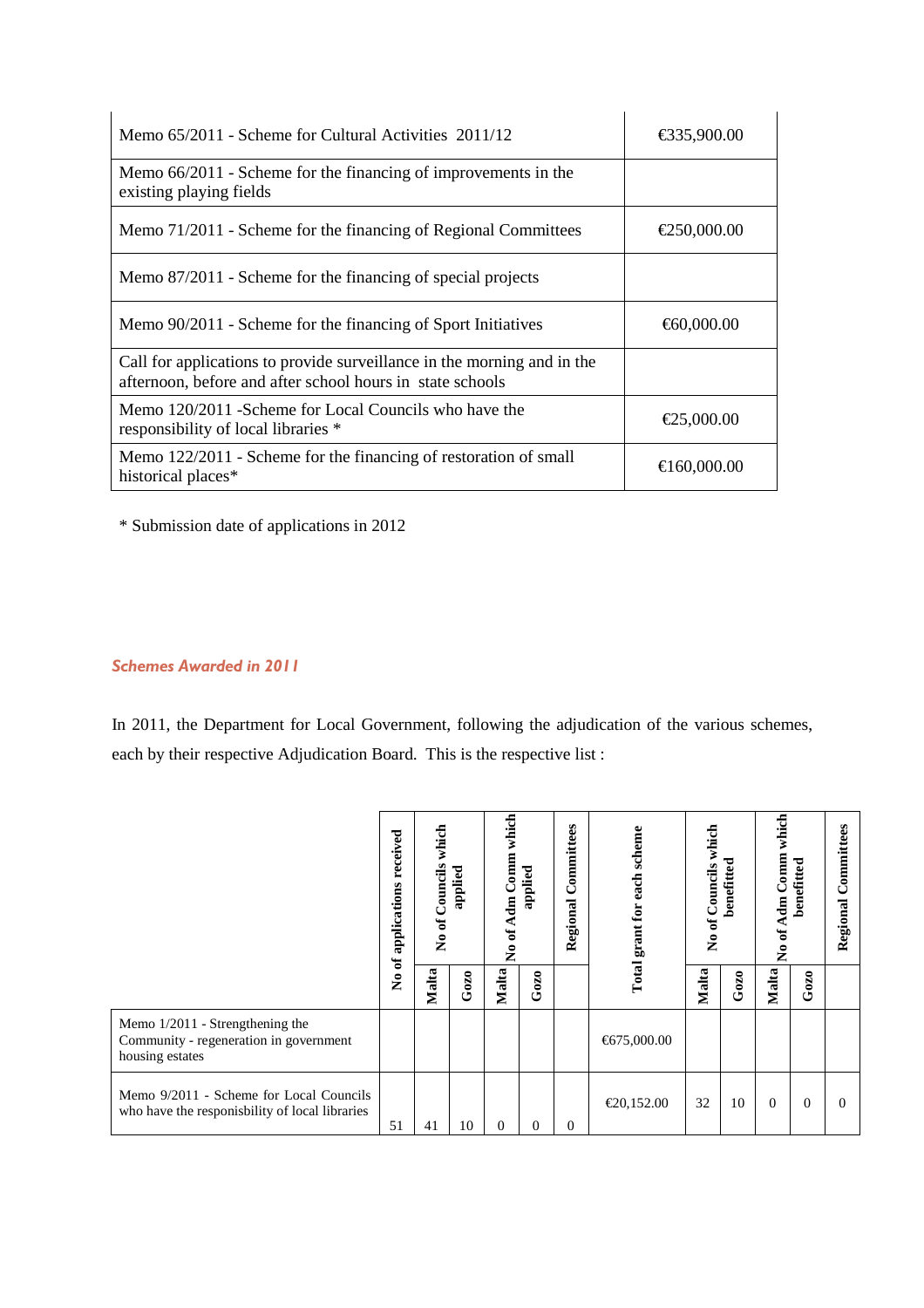| Memo 65/2011 - Scheme for Cultural Activities 2011/12                                                                                | €335,900.00 |
|--------------------------------------------------------------------------------------------------------------------------------------|-------------|
| Memo 66/2011 - Scheme for the financing of improvements in the<br>existing playing fields                                            |             |
| Memo 71/2011 - Scheme for the financing of Regional Committees                                                                       | €250,000.00 |
| Memo 87/2011 - Scheme for the financing of special projects                                                                          |             |
| Memo 90/2011 - Scheme for the financing of Sport Initiatives                                                                         | €60,000.00  |
| Call for applications to provide surveillance in the morning and in the<br>afternoon, before and after school hours in state schools |             |
| Memo 120/2011 - Scheme for Local Councils who have the<br>responsibility of local libraries *                                        | €25,000.00  |
| Memo 122/2011 - Scheme for the financing of restoration of small<br>historical places*                                               | €160,000.00 |

\* Submission date of applications in 2012

## Schemes Awarded in 2011

In 2011, the Department for Local Government, following the adjudication of the various schemes, each by their respective Adjudication Board. This is the respective list :

|                                                                                                | received<br>applications | which<br>Councils<br>No of | applied | which<br>Comm<br>No of Adm | applied  | Committees<br>Regional | each scheme<br>Total grant for | No of Councils which | benefitted | which<br>Comm<br>Adm<br>No of | benefitted | ommittees<br>ت<br>Regional |
|------------------------------------------------------------------------------------------------|--------------------------|----------------------------|---------|----------------------------|----------|------------------------|--------------------------------|----------------------|------------|-------------------------------|------------|----------------------------|
|                                                                                                | No of                    | Malta                      | Gozo    | Malta                      | Gozo     |                        |                                | Malta                | Gozo       | Malta                         | Gozo       |                            |
| Memo $1/2011$ - Strengthening the<br>Community - regeneration in government<br>housing estates |                          |                            |         |                            |          |                        | €675,000.00                    |                      |            |                               |            |                            |
| Memo 9/2011 - Scheme for Local Councils<br>who have the responisbility of local libraries      | 51                       | 41                         | 10      | $\Omega$                   | $\theta$ | $\Omega$               | €20,152.00                     | 32                   | 10         | $\Omega$                      | $\theta$   | 0                          |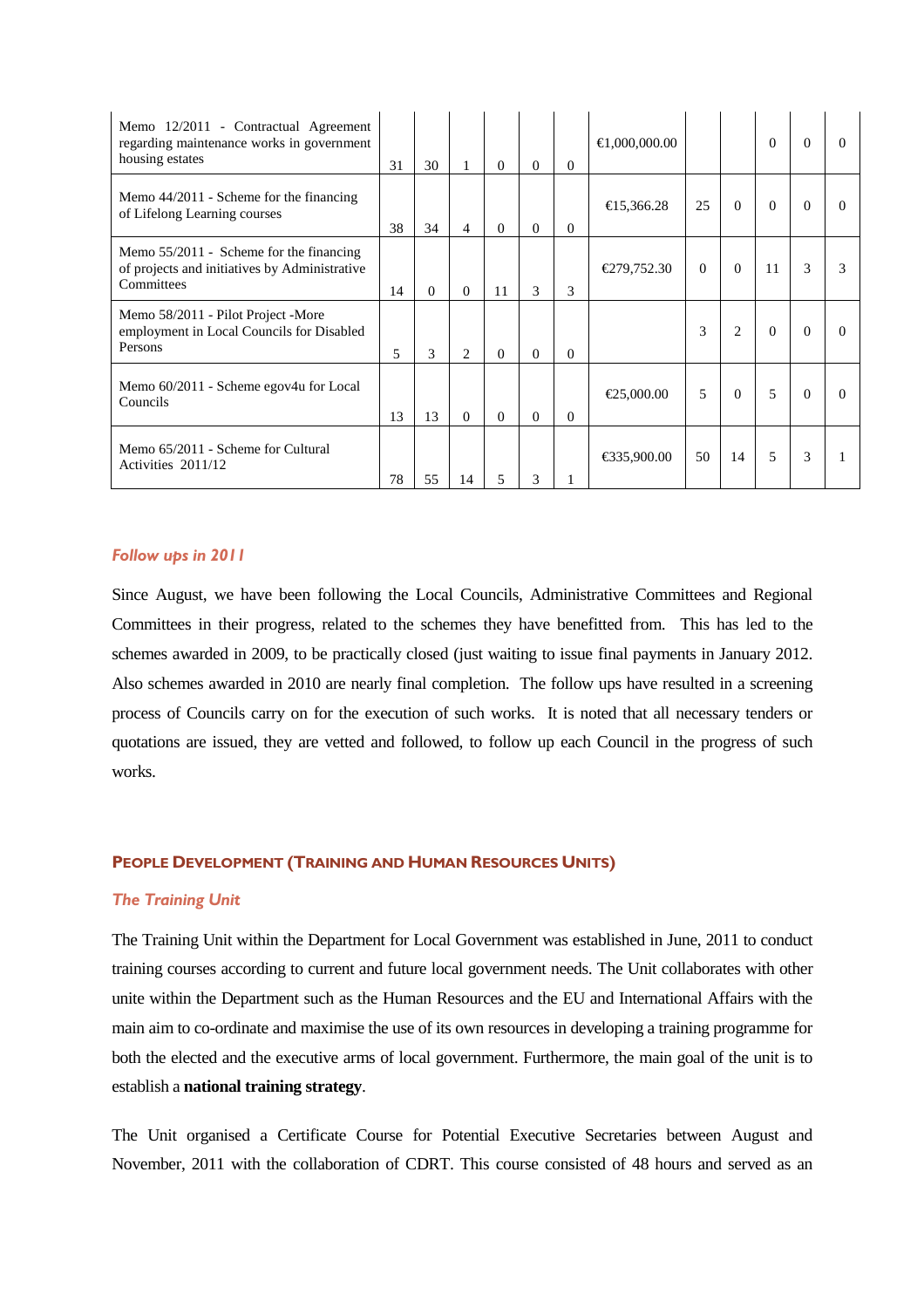| Memo 12/2011 - Contractual Agreement<br>regarding maintenance works in government<br>housing estates     | 31 | 30 |                | $\Omega$ | $\Omega$ | $\Omega$ | €1,000,000.00 |          |                | $\Omega$ | $\Omega$ |          |
|----------------------------------------------------------------------------------------------------------|----|----|----------------|----------|----------|----------|---------------|----------|----------------|----------|----------|----------|
| Memo $44/2011$ - Scheme for the financing<br>of Lifelong Learning courses                                | 38 | 34 | 4              | $\Omega$ | $\theta$ | $\Omega$ | €15,366.28    | 25       | $\Omega$       | $\Omega$ | $\Omega$ |          |
| Memo $55/2011$ - Scheme for the financing<br>of projects and initiatives by Administrative<br>Committees | 14 | 0  | $\Omega$       | 11       | 3        | 3        | €279,752.30   | $\Omega$ | $\Omega$       | 11       | 3        |          |
| Memo 58/2011 - Pilot Project -More<br>employment in Local Councils for Disabled<br>Persons               | 5  | 3  | $\mathfrak{D}$ | $\Omega$ | $\Omega$ | $\Omega$ |               | 3        | $\overline{2}$ | $\Omega$ | $\Omega$ |          |
| Memo 60/2011 - Scheme egov4u for Local<br>Councils                                                       | 13 | 13 | $\Omega$       | $\Omega$ | $\Omega$ | $\Omega$ | €25,000.00    | 5        | $\Omega$       | 5        | $\Omega$ | $\Omega$ |
| Memo 65/2011 - Scheme for Cultural<br>Activities 2011/12                                                 | 78 | 55 | 14             | 5        | 3        |          | €335,900.00   | 50       | 14             | 5        | 3        |          |

## Follow ups in 2011

Since August, we have been following the Local Councils, Administrative Committees and Regional Committees in their progress, related to the schemes they have benefitted from. This has led to the schemes awarded in 2009, to be practically closed (just waiting to issue final payments in January 2012. Also schemes awarded in 2010 are nearly final completion. The follow ups have resulted in a screening process of Councils carry on for the execution of such works. It is noted that all necessary tenders or quotations are issued, they are vetted and followed, to follow up each Council in the progress of such works.

## PEOPLE DEVELOPMENT (TRAINING AND HUMAN RESOURCES UNITS)

#### The Training Unit

The Training Unit within the Department for Local Government was established in June, 2011 to conduct training courses according to current and future local government needs. The Unit collaborates with other unite within the Department such as the Human Resources and the EU and International Affairs with the main aim to co-ordinate and maximise the use of its own resources in developing a training programme for both the elected and the executive arms of local government. Furthermore, the main goal of the unit is to establish a **national training strategy**.

The Unit organised a Certificate Course for Potential Executive Secretaries between August and November, 2011 with the collaboration of CDRT. This course consisted of 48 hours and served as an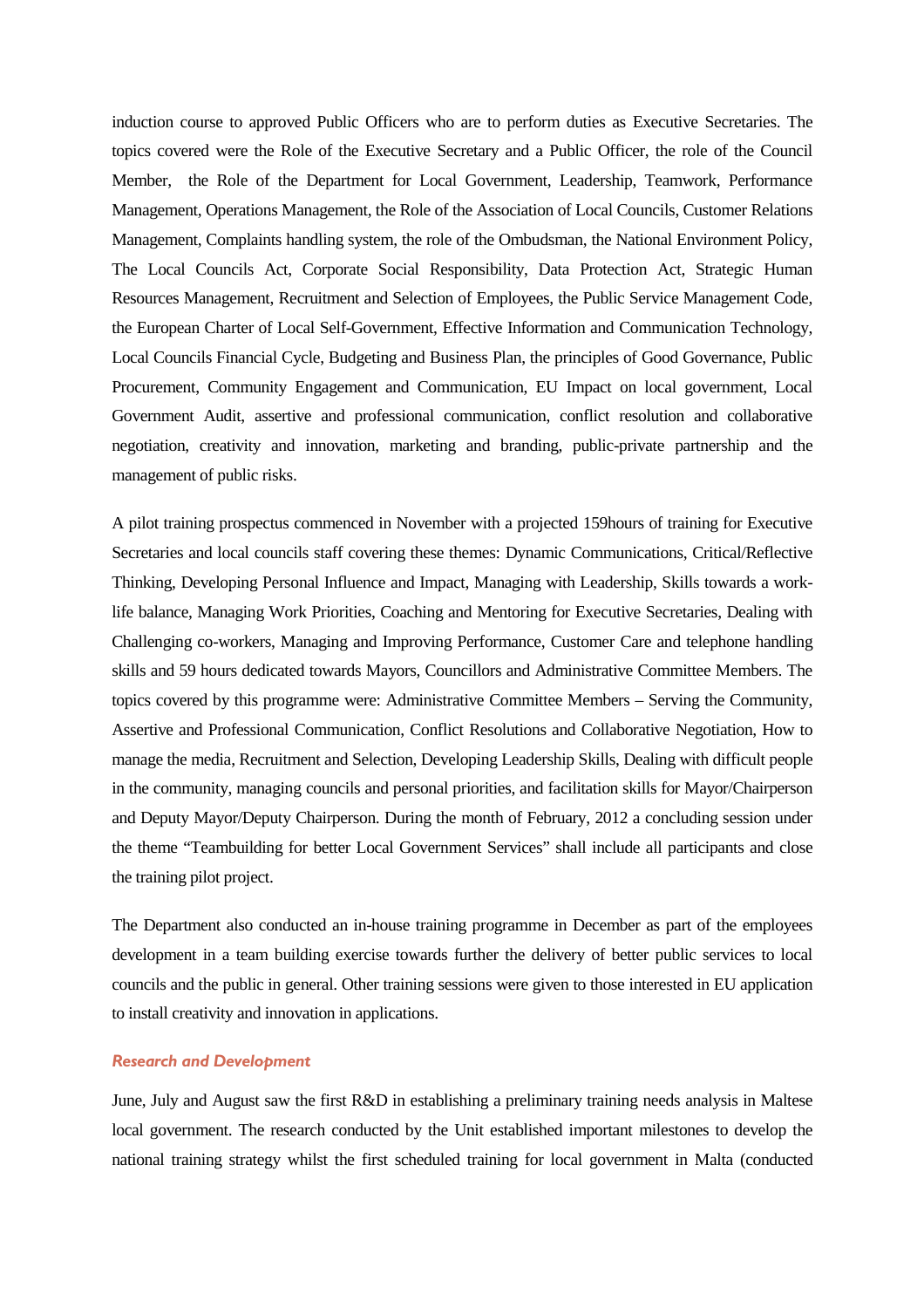induction course to approved Public Officers who are to perform duties as Executive Secretaries. The topics covered were the Role of the Executive Secretary and a Public Officer, the role of the Council Member, the Role of the Department for Local Government, Leadership, Teamwork, Performance Management, Operations Management, the Role of the Association of Local Councils, Customer Relations Management, Complaints handling system, the role of the Ombudsman, the National Environment Policy, The Local Councils Act, Corporate Social Responsibility, Data Protection Act, Strategic Human Resources Management, Recruitment and Selection of Employees, the Public Service Management Code, the European Charter of Local Self-Government, Effective Information and Communication Technology, Local Councils Financial Cycle, Budgeting and Business Plan, the principles of Good Governance, Public Procurement, Community Engagement and Communication, EU Impact on local government, Local Government Audit, assertive and professional communication, conflict resolution and collaborative negotiation, creativity and innovation, marketing and branding, public-private partnership and the management of public risks.

A pilot training prospectus commenced in November with a projected 159hours of training for Executive Secretaries and local councils staff covering these themes: Dynamic Communications, Critical/Reflective Thinking, Developing Personal Influence and Impact, Managing with Leadership, Skills towards a worklife balance, Managing Work Priorities, Coaching and Mentoring for Executive Secretaries, Dealing with Challenging co-workers, Managing and Improving Performance, Customer Care and telephone handling skills and 59 hours dedicated towards Mayors, Councillors and Administrative Committee Members. The topics covered by this programme were: Administrative Committee Members – Serving the Community, Assertive and Professional Communication, Conflict Resolutions and Collaborative Negotiation, How to manage the media, Recruitment and Selection, Developing Leadership Skills, Dealing with difficult people in the community, managing councils and personal priorities, and facilitation skills for Mayor/Chairperson and Deputy Mayor/Deputy Chairperson. During the month of February, 2012 a concluding session under the theme "Teambuilding for better Local Government Services" shall include all participants and close the training pilot project.

The Department also conducted an in-house training programme in December as part of the employees development in a team building exercise towards further the delivery of better public services to local councils and the public in general. Other training sessions were given to those interested in EU application to install creativity and innovation in applications.

## Research and Development

June, July and August saw the first R&D in establishing a preliminary training needs analysis in Maltese local government. The research conducted by the Unit established important milestones to develop the national training strategy whilst the first scheduled training for local government in Malta (conducted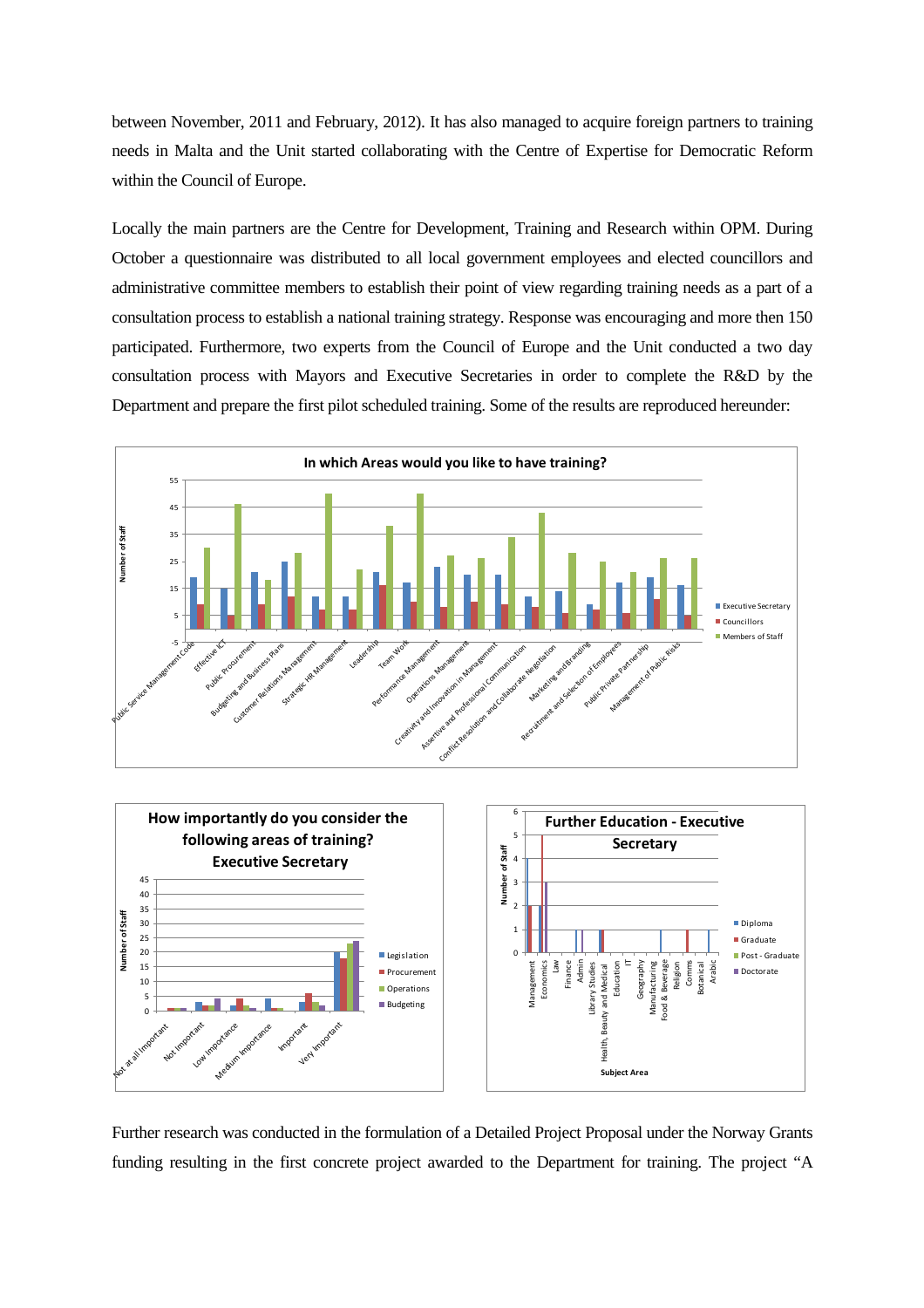between November, 2011 and February, 2012). It has also managed to acquire foreign partners to training needs in Malta and the Unit started collaborating with the Centre of Expertise for Democratic Reform within the Council of Europe.

Locally the main partners are the Centre for Development, Training and Research within OPM. During October a questionnaire was distributed to all local government employees and elected councillors and administrative committee members to establish their point of view regarding training needs as a part of a consultation process to establish a national training strategy. Response was encouraging and more then 150 participated. Furthermore, two experts from the Council of Europe and the Unit conducted a two day consultation process with Mayors and Executive Secretaries in order to complete the R&D by the Department and prepare the first pilot scheduled training. Some of the results are reproduced hereunder:



Further research was conducted in the formulation of a Detailed Project Proposal under the Norway Grants funding resulting in the first concrete project awarded to the Department for training. The project "A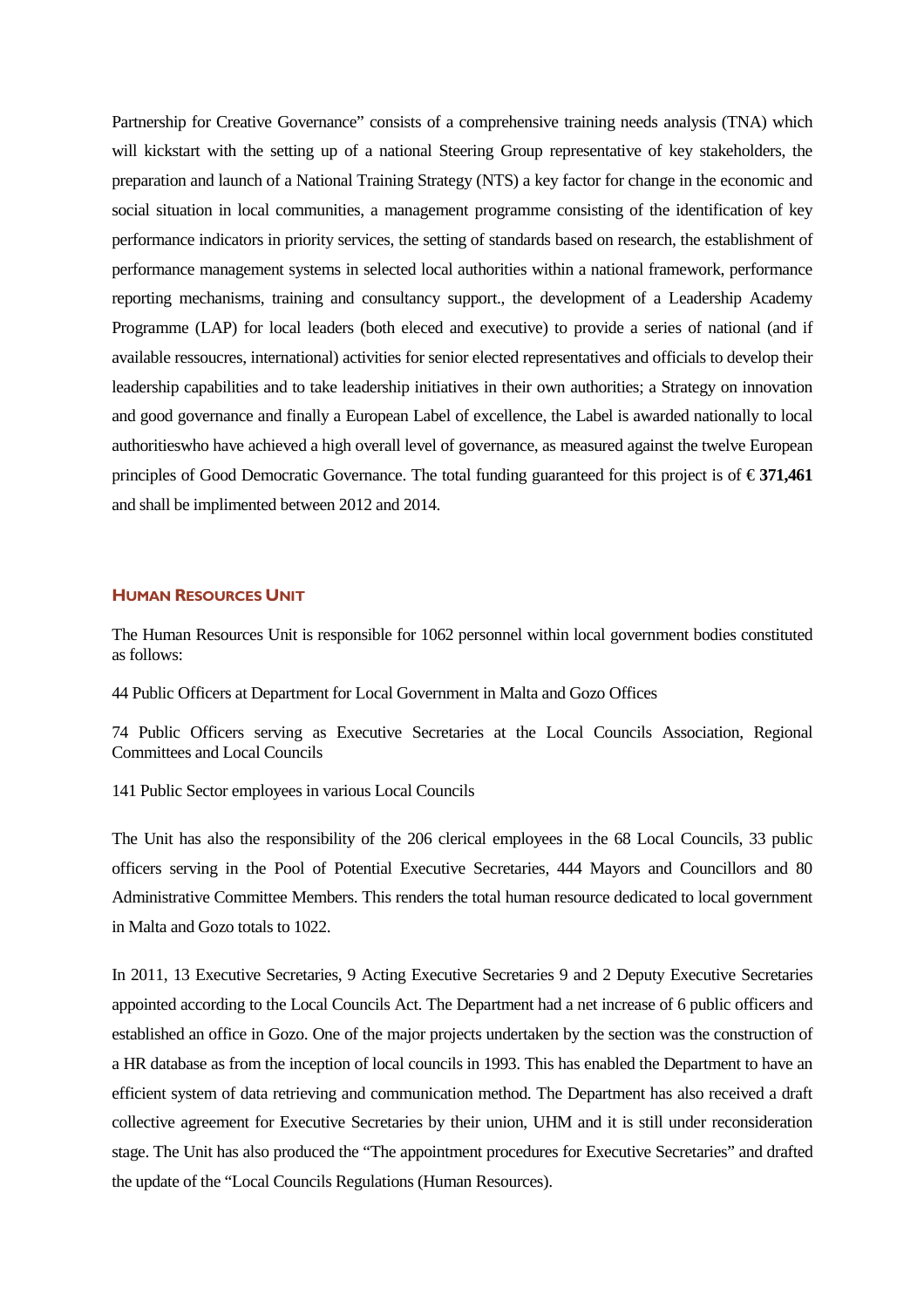Partnership for Creative Governance" consists of a comprehensive training needs analysis (TNA) which will kickstart with the setting up of a national Steering Group representative of key stakeholders, the preparation and launch of a National Training Strategy (NTS) a key factor for change in the economic and social situation in local communities, a management programme consisting of the identification of key performance indicators in priority services, the setting of standards based on research, the establishment of performance management systems in selected local authorities within a national framework, performance reporting mechanisms, training and consultancy support., the development of a Leadership Academy Programme (LAP) for local leaders (both eleced and executive) to provide a series of national (and if available ressoucres, international) activities for senior elected representatives and officials to develop their leadership capabilities and to take leadership initiatives in their own authorities; a Strategy on innovation and good governance and finally a European Label of excellence, the Label is awarded nationally to local authoritieswho have achieved a high overall level of governance, as measured against the twelve European principles of Good Democratic Governance. The total funding guaranteed for this project is of  $\epsilon$ 371,461 and shall be implimented between 2012 and 2014.

#### HUMAN RESOURCES UNIT

The Human Resources Unit is responsible for 1062 personnel within local government bodies constituted as follows:

44 Public Officers at Department for Local Government in Malta and Gozo Offices

74 Public Officers serving as Executive Secretaries at the Local Councils Association, Regional Committees and Local Councils

141 Public Sector employees in various Local Councils

The Unit has also the responsibility of the 206 clerical employees in the 68 Local Councils, 33 public officers serving in the Pool of Potential Executive Secretaries, 444 Mayors and Councillors and 80 Administrative Committee Members. This renders the total human resource dedicated to local government in Malta and Gozo totals to 1022.

In 2011, 13 Executive Secretaries, 9 Acting Executive Secretaries 9 and 2 Deputy Executive Secretaries appointed according to the Local Councils Act. The Department had a net increase of 6 public officers and established an office in Gozo. One of the major projects undertaken by the section was the construction of a HR database as from the inception of local councils in 1993. This has enabled the Department to have an efficient system of data retrieving and communication method. The Department has also received a draft collective agreement for Executive Secretaries by their union, UHM and it is still under reconsideration stage. The Unit has also produced the "The appointment procedures for Executive Secretaries" and drafted the update of the "Local Councils Regulations (Human Resources).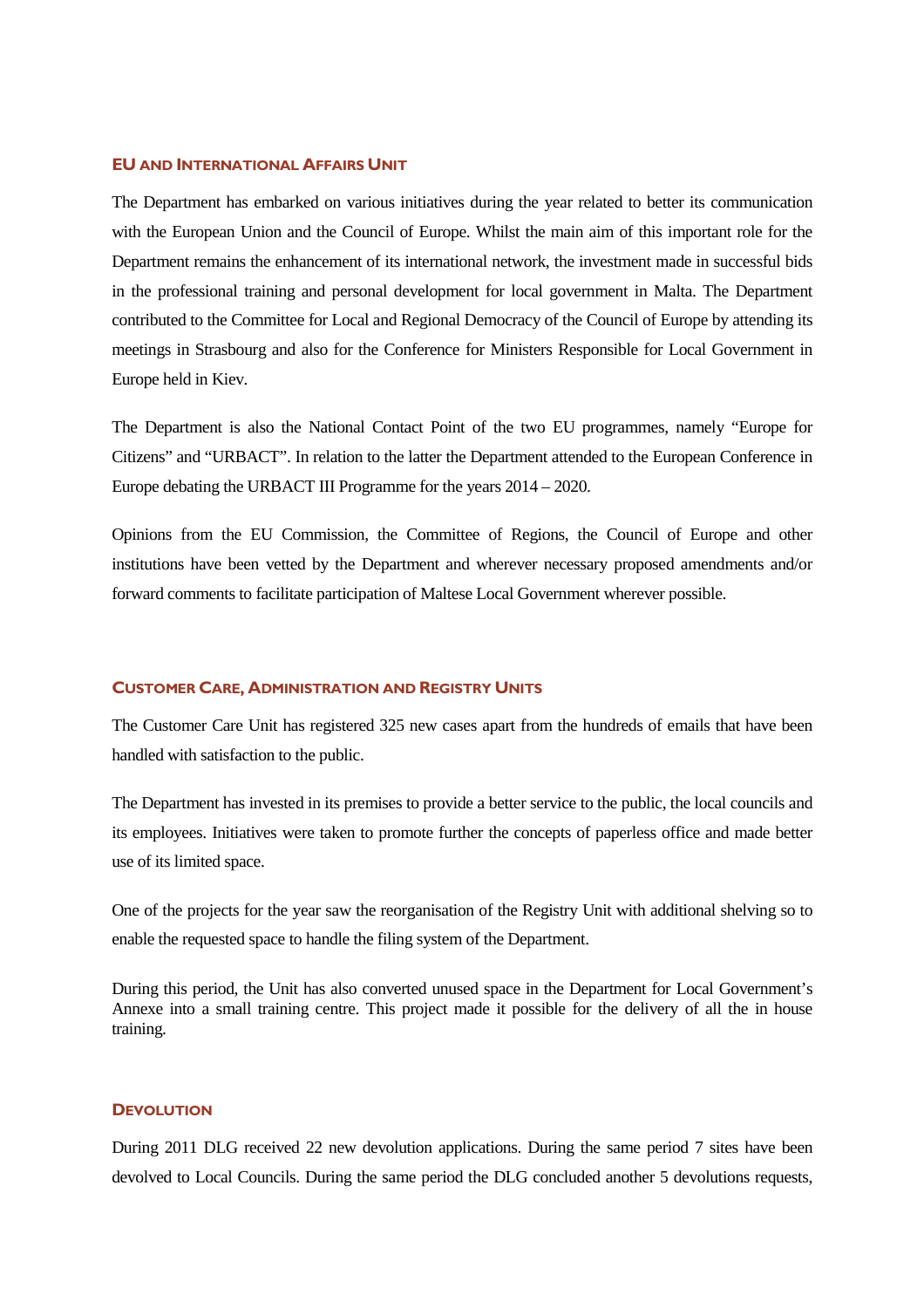#### EU AND INTERNATIONAL AFFAIRS UNIT

The Department has embarked on various initiatives during the year related to better its communication with the European Union and the Council of Europe. Whilst the main aim of this important role for the Department remains the enhancement of its international network, the investment made in successful bids in the professional training and personal development for local government in Malta. The Department contributed to the Committee for Local and Regional Democracy of the Council of Europe by attending its meetings in Strasbourg and also for the Conference for Ministers Responsible for Local Government in Europe held in Kiev.

The Department is also the National Contact Point of the two EU programmes, namely "Europe for Citizens" and "URBACT". In relation to the latter the Department attended to the European Conference in Europe debating the URBACT III Programme for the years 2014 – 2020.

Opinions from the EU Commission, the Committee of Regions, the Council of Europe and other institutions have been vetted by the Department and wherever necessary proposed amendments and/or forward comments to facilitate participation of Maltese Local Government wherever possible.

#### CUSTOMER CARE, ADMINISTRATION AND REGISTRY UNITS

The Customer Care Unit has registered 325 new cases apart from the hundreds of emails that have been handled with satisfaction to the public.

The Department has invested in its premises to provide a better service to the public, the local councils and its employees. Initiatives were taken to promote further the concepts of paperless office and made better use of its limited space.

One of the projects for the year saw the reorganisation of the Registry Unit with additional shelving so to enable the requested space to handle the filing system of the Department.

During this period, the Unit has also converted unused space in the Department for Local Government's Annexe into a small training centre. This project made it possible for the delivery of all the in house training.

#### **DEVOLUTION**

During 2011 DLG received 22 new devolution applications. During the same period 7 sites have been devolved to Local Councils. During the same period the DLG concluded another 5 devolutions requests,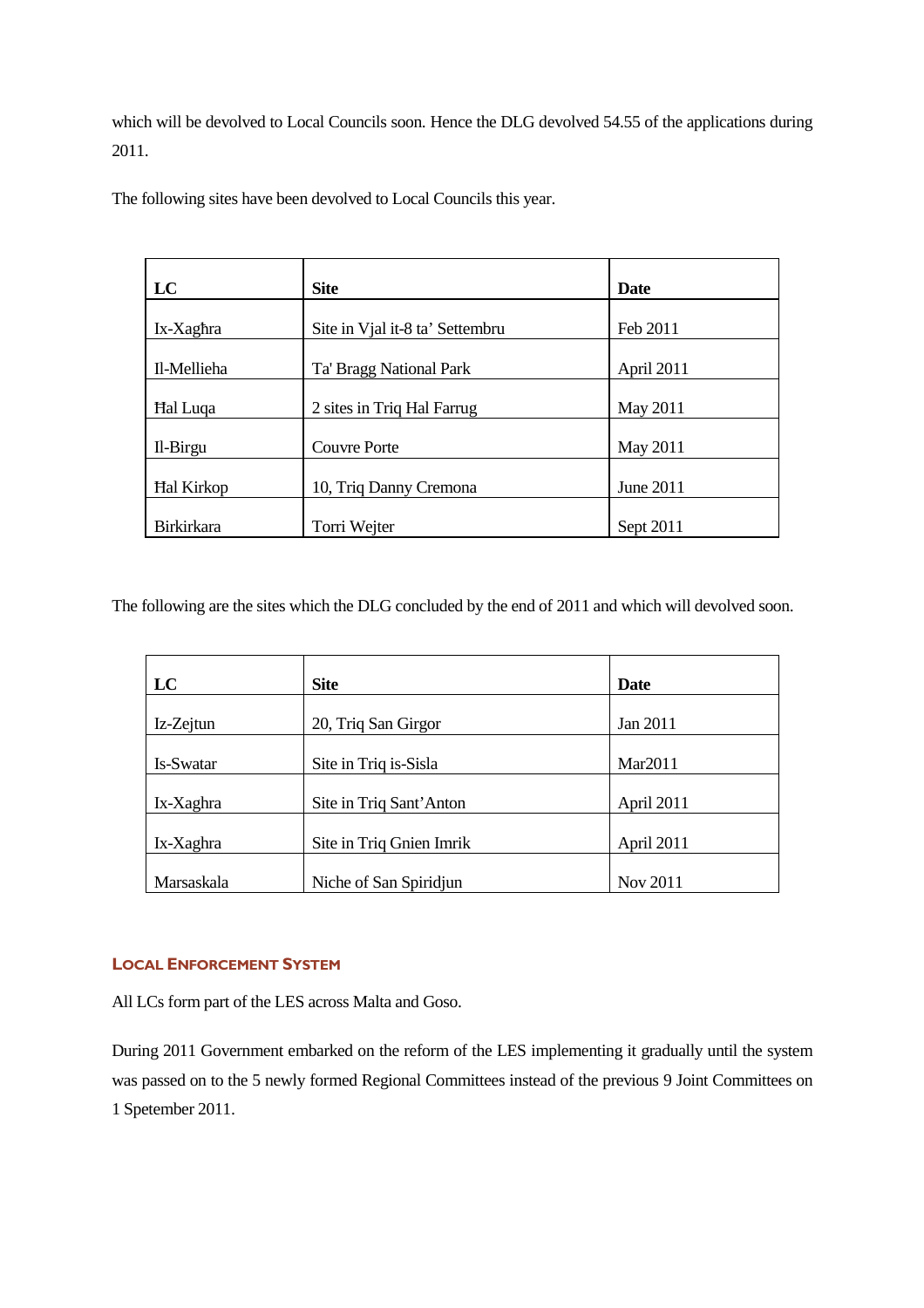which will be devolved to Local Councils soon. Hence the DLG devolved 54.55 of the applications during 2011.

The following sites have been devolved to Local Councils this year.

| LC                | <b>Site</b>                     | <b>Date</b> |
|-------------------|---------------------------------|-------------|
|                   |                                 |             |
| Ix-Xaghra         | Site in Vial it-8 ta' Settembru | Feb 2011    |
|                   |                                 |             |
| Il-Mellieha       | Ta' Bragg National Park         | April 2011  |
|                   |                                 |             |
| <b>Hal Luqa</b>   | 2 sites in Triq Hal Farrug      | May 2011    |
|                   |                                 |             |
| Il-Birgu          | <b>Couvre Porte</b>             | May 2011    |
|                   |                                 |             |
| <b>Hal Kirkop</b> | 10, Triq Danny Cremona          | June 2011   |
|                   |                                 |             |
| <b>Birkirkara</b> | Torri Wejter                    | Sept 2011   |

The following are the sites which the DLG concluded by the end of 2011 and which will devolved soon.

| LC         | <b>Site</b>              | Date       |
|------------|--------------------------|------------|
| Iz-Zejtun  | 20, Triq San Girgor      | Jan 2011   |
|            |                          |            |
| Is-Swatar  | Site in Triq is-Sisla    | Mar2011    |
| Ix-Xaghra  | Site in Triq Sant'Anton  | April 2011 |
| Ix-Xaghra  | Site in Triq Gnien Imrik | April 2011 |
| Marsaskala | Niche of San Spiridjun   | Nov 2011   |

## LOCAL ENFORCEMENT SYSTEM

All LCs form part of the LES across Malta and Goso.

During 2011 Government embarked on the reform of the LES implementing it gradually until the system was passed on to the 5 newly formed Regional Committees instead of the previous 9 Joint Committees on 1 Spetember 2011.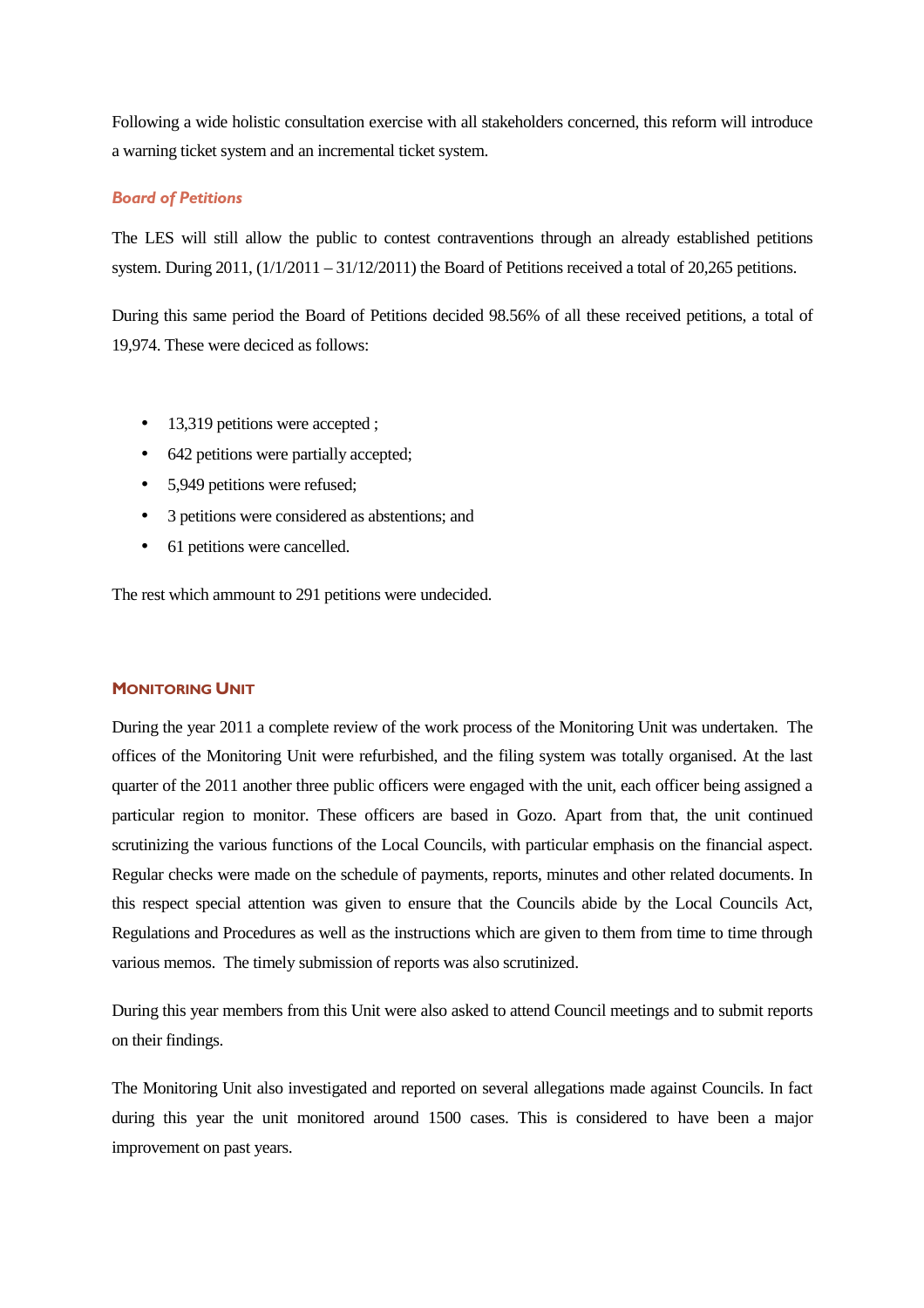Following a wide holistic consultation exercise with all stakeholders concerned, this reform will introduce a warning ticket system and an incremental ticket system.

## Board of Petitions

The LES will still allow the public to contest contraventions through an already established petitions system. During  $2011$ ,  $\left(\frac{1}{2011} - \frac{31}{12/2011}\right)$  the Board of Petitions received a total of 20,265 petitions.

During this same period the Board of Petitions decided 98.56% of all these received petitions, a total of 19,974. These were deciced as follows:

- 13,319 petitions were accepted ;
- 642 petitions were partially accepted;
- 5.949 petitions were refused:
- 3 petitions were considered as abstentions; and
- 61 petitions were cancelled.

The rest which ammount to 291 petitions were undecided.

#### MONITORING UNIT

During the year 2011 a complete review of the work process of the Monitoring Unit was undertaken. The offices of the Monitoring Unit were refurbished, and the filing system was totally organised. At the last quarter of the 2011 another three public officers were engaged with the unit, each officer being assigned a particular region to monitor. These officers are based in Gozo. Apart from that, the unit continued scrutinizing the various functions of the Local Councils, with particular emphasis on the financial aspect. Regular checks were made on the schedule of payments, reports, minutes and other related documents. In this respect special attention was given to ensure that the Councils abide by the Local Councils Act, Regulations and Procedures as well as the instructions which are given to them from time to time through various memos. The timely submission of reports was also scrutinized.

During this year members from this Unit were also asked to attend Council meetings and to submit reports on their findings.

The Monitoring Unit also investigated and reported on several allegations made against Councils. In fact during this year the unit monitored around 1500 cases. This is considered to have been a major improvement on past years.